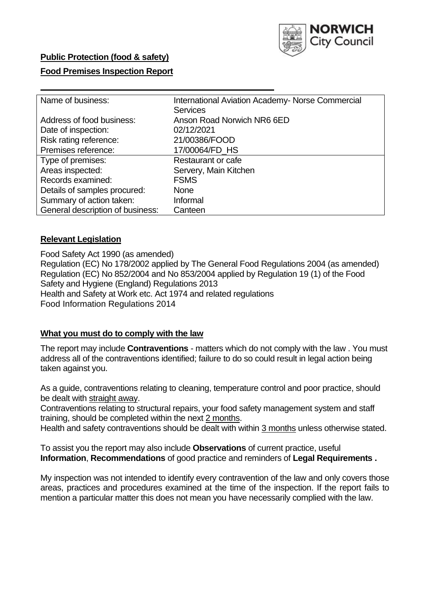

# **Public Protection (food & safety)**

## **Food Premises Inspection Report**

| Name of business:                | <b>International Aviation Academy- Norse Commercial</b> |  |  |  |  |  |
|----------------------------------|---------------------------------------------------------|--|--|--|--|--|
|                                  | <b>Services</b>                                         |  |  |  |  |  |
| Address of food business:        | Anson Road Norwich NR6 6ED                              |  |  |  |  |  |
| Date of inspection:              | 02/12/2021                                              |  |  |  |  |  |
| Risk rating reference:           | 21/00386/FOOD                                           |  |  |  |  |  |
| Premises reference:              | 17/00064/FD HS                                          |  |  |  |  |  |
| Type of premises:                | Restaurant or cafe                                      |  |  |  |  |  |
| Areas inspected:                 | Servery, Main Kitchen                                   |  |  |  |  |  |
| Records examined:                | <b>FSMS</b>                                             |  |  |  |  |  |
| Details of samples procured:     | None                                                    |  |  |  |  |  |
| Summary of action taken:         | Informal                                                |  |  |  |  |  |
| General description of business: | Canteen                                                 |  |  |  |  |  |

### **Relevant Legislation**

Food Safety Act 1990 (as amended) Regulation (EC) No 178/2002 applied by The General Food Regulations 2004 (as amended) Regulation (EC) No 852/2004 and No 853/2004 applied by Regulation 19 (1) of the Food Safety and Hygiene (England) Regulations 2013 Health and Safety at Work etc. Act 1974 and related regulations Food Information Regulations 2014

#### **What you must do to comply with the law**

The report may include **Contraventions** - matters which do not comply with the law . You must address all of the contraventions identified; failure to do so could result in legal action being taken against you.

As a guide, contraventions relating to cleaning, temperature control and poor practice, should be dealt with straight away.

Contraventions relating to structural repairs, your food safety management system and staff training, should be completed within the next 2 months.

Health and safety contraventions should be dealt with within 3 months unless otherwise stated.

To assist you the report may also include **Observations** of current practice, useful **Information**, **Recommendations** of good practice and reminders of **Legal Requirements .** 

My inspection was not intended to identify every contravention of the law and only covers those areas, practices and procedures examined at the time of the inspection. If the report fails to mention a particular matter this does not mean you have necessarily complied with the law.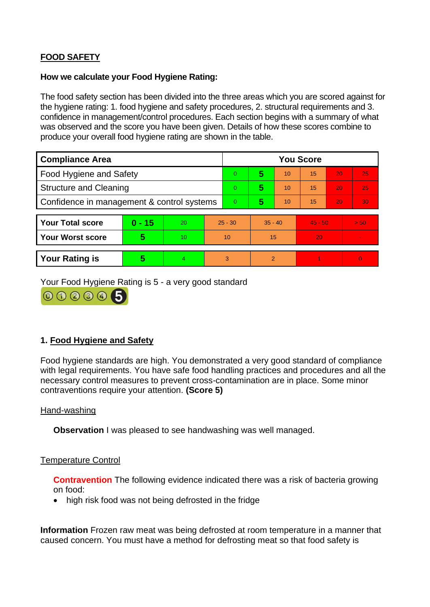# **FOOD SAFETY**

### **How we calculate your Food Hygiene Rating:**

The food safety section has been divided into the three areas which you are scored against for the hygiene rating: 1. food hygiene and safety procedures, 2. structural requirements and 3. confidence in management/control procedures. Each section begins with a summary of what was observed and the score you have been given. Details of how these scores combine to produce your overall food hygiene rating are shown in the table.

| <b>Compliance Area</b>                     |          |    |                | <b>You Score</b> |                |    |           |    |                |  |  |
|--------------------------------------------|----------|----|----------------|------------------|----------------|----|-----------|----|----------------|--|--|
| Food Hygiene and Safety                    |          |    |                | $\overline{0}$   | 5              | 10 | 15        | 20 | 25             |  |  |
| <b>Structure and Cleaning</b>              |          |    | $\overline{0}$ | 5                | 10             | 15 | 20        | 25 |                |  |  |
| Confidence in management & control systems |          |    | $\overline{0}$ | 5                | 10             | 15 | 20        | 30 |                |  |  |
|                                            |          |    |                |                  |                |    |           |    |                |  |  |
| <b>Your Total score</b>                    | $0 - 15$ | 20 | $25 - 30$      |                  | $35 - 40$      |    | $45 - 50$ |    | > 50           |  |  |
| <b>Your Worst score</b>                    | 5        | 10 | 10             |                  | 15             |    | 20        |    | $\blacksquare$ |  |  |
|                                            |          |    |                |                  |                |    |           |    |                |  |  |
| <b>Your Rating is</b>                      | 5        | 4  | 3              |                  | $\overline{2}$ |    |           |    | $\Omega$       |  |  |

Your Food Hygiene Rating is 5 - a very good standard



# **1. Food Hygiene and Safety**

Food hygiene standards are high. You demonstrated a very good standard of compliance with legal requirements. You have safe food handling practices and procedures and all the necessary control measures to prevent cross-contamination are in place. Some minor contraventions require your attention. **(Score 5)** 

## Hand-washing

**Observation I** was pleased to see handwashing was well managed.

#### Temperature Control

**Contravention** The following evidence indicated there was a risk of bacteria growing on food:

• high risk food was not being defrosted in the fridge

**Information** Frozen raw meat was being defrosted at room temperature in a manner that caused concern. You must have a method for defrosting meat so that food safety is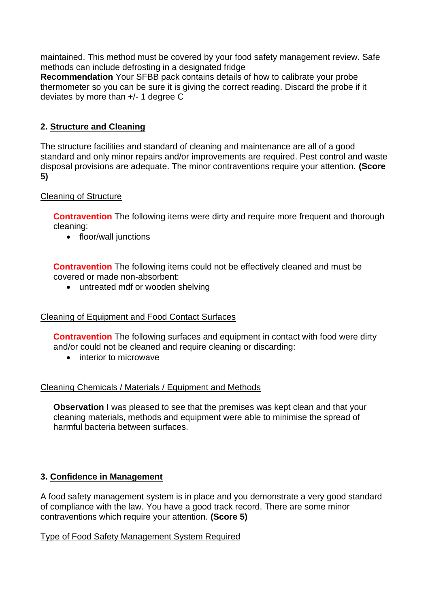maintained. This method must be covered by your food safety management review. Safe methods can include defrosting in a designated fridge

**Recommendation** Your SFBB pack contains details of how to calibrate your probe thermometer so you can be sure it is giving the correct reading. Discard the probe if it deviates by more than +/- 1 degree C

# **2. Structure and Cleaning**

The structure facilities and standard of cleaning and maintenance are all of a good standard and only minor repairs and/or improvements are required. Pest control and waste disposal provisions are adequate. The minor contraventions require your attention. **(Score 5)** 

# Cleaning of Structure

**Contravention** The following items were dirty and require more frequent and thorough cleaning:

• floor/wall junctions

**Contravention** The following items could not be effectively cleaned and must be covered or made non-absorbent:

• untreated mdf or wooden shelving

## Cleaning of Equipment and Food Contact Surfaces

**Contravention** The following surfaces and equipment in contact with food were dirty and/or could not be cleaned and require cleaning or discarding:

• interior to microwave

## Cleaning Chemicals / Materials / Equipment and Methods

**Observation** I was pleased to see that the premises was kept clean and that your cleaning materials, methods and equipment were able to minimise the spread of harmful bacteria between surfaces.

## **3. Confidence in Management**

A food safety management system is in place and you demonstrate a very good standard of compliance with the law. You have a good track record. There are some minor contraventions which require your attention. **(Score 5)** 

## Type of Food Safety Management System Required